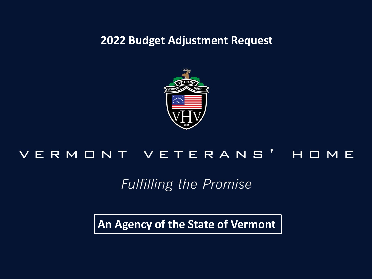**2022 Budget Adjustment Request**



#### VERMONT VETERANS' HOME

#### **Fulfilling the Promise**

**An Agency of the State of Vermont**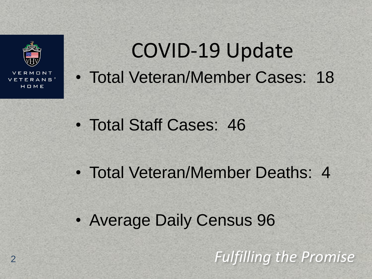

# COVID-19 Update • Total Veteran/Member Cases: 18

- Total Staff Cases: 46
- Total Veteran/Member Deaths: 4
- Average Daily Census 96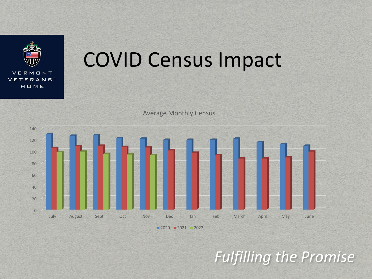

# COVID Census Impact

Average Monthly Census



■ 2020 ■ 2021 ■ 2022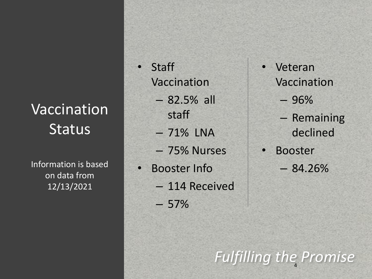#### Vaccination **Status**

Information is based on data from 12/13/2021

- Staff Vaccination
	- 82.5% all staff
	- 71% LNA
	- 75% Nurses
- Booster Info
	- 114 Received
	- $-57%$

**Veteran** Vaccination

– 96%

- Remaining declined
- Booster  $-84.26%$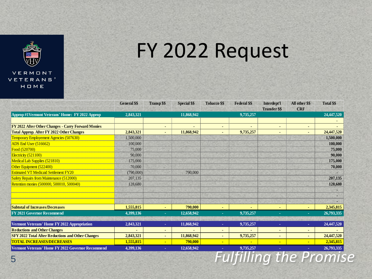

# FY 2022 Request

|                                                           | <b>General \$\$</b> | <b>Transp \$\$</b> | <b>Special \$\$</b> | <b>Tobacco \$\$</b> | <b>Federal \$\$</b> | Interdept'l          | All other \$\$ | <b>Total \$\$</b> |
|-----------------------------------------------------------|---------------------|--------------------|---------------------|---------------------|---------------------|----------------------|----------------|-------------------|
|                                                           |                     |                    |                     |                     |                     | <b>Transfer \$\$</b> | <b>CRF</b>     |                   |
| Approp#1Vermont Veterans' Home: FY 2022 Approp            | 2,843,321           |                    | 11,868,942          |                     | 9,735,257           |                      |                | 24,447,520        |
| <b>FY 2022 After Other Changes - Carry Forward Monies</b> |                     |                    |                     |                     |                     | ٠                    |                |                   |
| <b>Total Approp. After FY 2022 Other Changes</b>          | 2,843,321           |                    | 11,868,942          |                     | 9,735,257           | ٠                    |                | 24,447,520        |
| Temporary Employement Agencies (507630)                   | 1,500,000           |                    |                     |                     |                     |                      |                | 1,500,000         |
| ADS End User (516662)                                     | 100,000             |                    |                     |                     |                     |                      |                | 100,000           |
| Food (520700)                                             | 75,000              |                    |                     |                     |                     |                      |                | 75,000            |
| Electricity (521100)                                      | 90,000              |                    |                     |                     |                     |                      |                | 90,000            |
| Medical Lab Supplies (521810)                             | 175,000             |                    |                     |                     |                     |                      |                | 175,000           |
| Other Equipment (522400)                                  | 70,000              |                    |                     |                     |                     |                      |                | 70,000            |
| <b>Estimated VT Medicaid Settlement FY20</b>              | (790,000)           |                    | 790,000             |                     |                     |                      |                |                   |
| <b>Safety Repairs from Maintenance (512000)</b>           | 207,135             |                    |                     |                     |                     |                      |                | 207,135           |
| Retention monies (500000, 500010, 500040)                 | 128,680             |                    |                     |                     |                     |                      |                | 128,680           |
|                                                           |                     |                    |                     |                     |                     |                      |                |                   |
|                                                           |                     |                    |                     |                     |                     |                      |                |                   |
|                                                           |                     |                    |                     |                     |                     |                      |                |                   |
| <b>Subtotal of Increases/Decreases</b>                    | 1,555,815           |                    | 790,000             |                     |                     | ٠                    |                | 2,345,815         |
| FY 2021 Governor Recommend                                | 4,399,136           |                    | 12,658,942          |                     | 9,735,257           |                      |                | 26,793,335        |
| Vermont Veterans' Home FY 2022 Appropriation              | 2,843,321           | ٠                  | 11,868,942          | ×.                  | 9,735,257           | ×.                   | ×              | 24,447,520        |
| <b>Reductions and Other Changes</b>                       |                     |                    |                     |                     |                     | ٠                    |                |                   |
|                                                           | 2,843,321           | ٠                  |                     | ۰                   |                     | ٠                    |                |                   |
| <b>TOTAL INCREASES/DECREASES</b>                          |                     |                    | 790,000             | ÷                   |                     | $\blacksquare$       |                | 2,345,815         |
| Vermont Veterans' Home FY 2022 Governor Recommend         | 4,399,136           | $\sim$             | 12,658,942          | ٠                   | 9,735,257           | ٠                    |                | 26,793,335        |
| <b>SFY 2022 Total After Reductions and Other Changes</b>  | 1,555,815           |                    | 11,868,942          |                     | 9,735,257           |                      |                | 24,447,520        |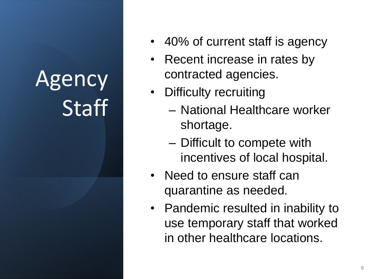# Agency **Staff**

- 40% of current staff is agency
- Recent increase in rates by contracted agencies.
- Difficulty recruiting
	- National Healthcare worker shortage.
	- Difficult to compete with incentives of local hospital.
- Need to ensure staff can quarantine as needed.
- Pandemic resulted in inability to use temporary staff that worked in other healthcare locations.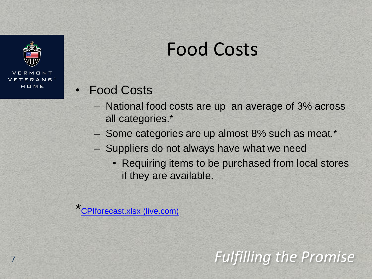

### Food Costs

- Food Costs
	- National food costs are up an average of 3% across all categories.\*
	- Some categories are up almost 8% such as meat.\*
	- Suppliers do not always have what we need
		- Requiring items to be purchased from local stores if they are available.

\* [CPIforecast.xlsx \(live.com\)](https://view.officeapps.live.com/op/view.aspx?src=https%3A%2F%2Fwww.ers.usda.gov%2Fwebdocs%2FDataFiles%2F50673%2FCPIforecast.xlsx%3Fv%3D2028.3&wdOrigin=BROWSELINK)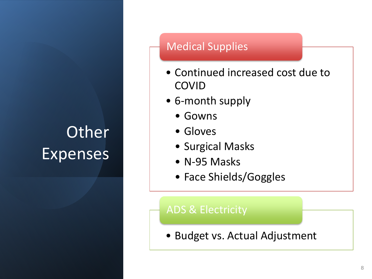### **Other** Expenses

#### Medical Supplies

- Continued increased cost due to COVID
- 6-month supply
	- Gowns
	- Gloves
	- Surgical Masks
	- N-95 Masks
	- Face Shields/Goggles

#### ADS & Electricity

• Budget vs. Actual Adjustment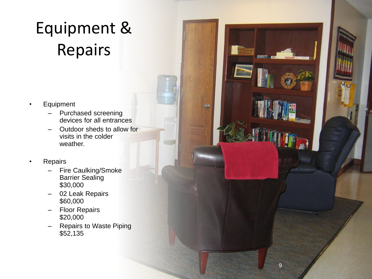### Equipment & Repairs

- **Equipment** 
	- Purchased screening devices for all entrances
	- Outdoor sheds to allow for visits in the colder weather.
- **Repairs** 
	- Fire Caulking/Smoke Barrier Sealing \$30,000
	- 02 Leak Repairs \$60,000
	- Floor Repairs \$20,000
	- Repairs to Waste Piping \$52,135